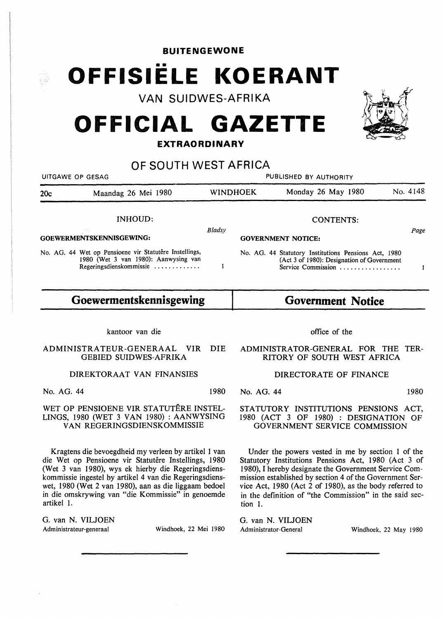**BUITENGEWONE** 

# **OFFISIELE KOERANT**

**VAN SUIDWES-AFRIKA** 

# **OFFICIAL GAZETTE**

## **EXTRAORDINARY**

| OF SOUTH WEST AFRICA     |                                                                                                                           |                                     |  |                                                                                                                          |          |  |  |
|--------------------------|---------------------------------------------------------------------------------------------------------------------------|-------------------------------------|--|--------------------------------------------------------------------------------------------------------------------------|----------|--|--|
|                          | UITGAWE OP GESAG                                                                                                          | PUBLISHED BY AUTHORITY              |  |                                                                                                                          |          |  |  |
| 20c                      | Maandag 26 Mei 1980                                                                                                       | <b>WINDHOEK</b>                     |  | Monday 26 May 1980                                                                                                       | No. 4148 |  |  |
| INHOUD:                  |                                                                                                                           |                                     |  | <b>CONTENTS:</b>                                                                                                         |          |  |  |
| GOEWERMENTSKENNISGEWING: |                                                                                                                           | Bladsv<br><b>GOVERNMENT NOTICE:</b> |  | Page                                                                                                                     |          |  |  |
|                          | No. AG. 44 Wet op Pensioene vir Statutêre Instellings,<br>1980 (Wet 3 van 1980): Aanwysing van<br>Regeringsdienskommissie |                                     |  | No. AG. 44 Statutory Institutions Pensions Act, 1980<br>(Act 3 of 1980): Designation of Government<br>Service Commission |          |  |  |

#### **Goewermentskennisgewing Government Notice**

kantoor van die

ADMINISTRATEUR-GENERAAL VIR DIE GEBIED SUIDWES-AFRIKA

DIREKTORAAT VAN FINANSIES

No. AG. 44 1980

#### WET OP PENSIOENE VIR STATUTERE INSTEL-LINGS, 1980 (WET 3 VAN 1980) : AANWYSING VAN REGERINGSDIENSKOMMISSIE

Kragtens die bevoegdheid my verleen by artikel 1 van die Wet op Pensioene vir Statutêre Instellings, 1980 (Wet 3 van 1980), wys ek hierby die Regeringsdienskommissie ingestel by artikel 4 van die Regeringsdienswet, 1980 (Wet 2 van 1980), aan as die Iiggaam bedoel in die omskrywing van "die Kommissie" in genoemde artikel 1.

G. van N. VILJOEN Administrateur-generaal Windhoek, 22 Mei 1980

office of the

ADMINISTRATOR-GENERAL FOR THE TER-RITORY OF SOUTH WEST AFRICA

#### DIRECTORATE OF FINANCE

No. AG. 44 1980

STATUTORY INSTITUTIONS PENSIONS ACT, 1980 (ACT 3 OF 1980) : DESIGNATION OF GOVERNMENT SERVICE COMMISSION

Under the powers vested in me by section 1 of the Statutory Institutions Pensions Act, 1980 (Act 3 of 1980), I hereby designate the Government Service Commission established by section 4 of the Government Service Act, 1980 (Act 2 of 1980), as the body referred to in the definition of "the Commission" in the said section 1.

G. van N. VILJOEN

Administrator-General Windhoek, 22 May 1980